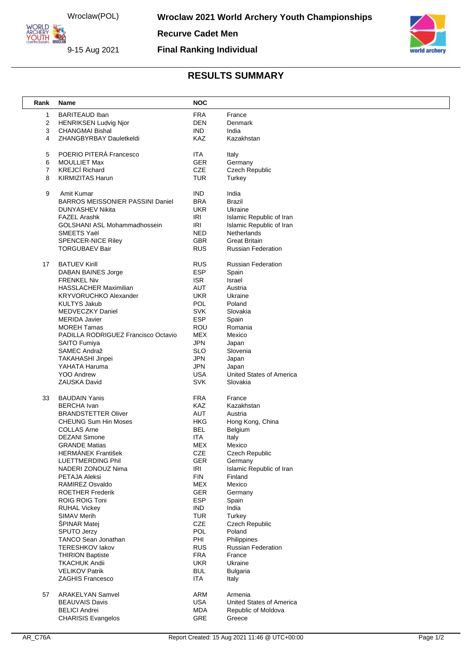Wroclaw(POL)

ORLD ARCHERY-

9-15 Aug 2021

**Wroclaw 2021 World Archery Youth Championships** 

**Recurve Cadet Men**

**Final Ranking Individual**



## **RESULTS SUMMARY**

| Rank | <b>Name</b>                                        | <b>NOC</b>               |                                         |
|------|----------------------------------------------------|--------------------------|-----------------------------------------|
|      | <b>BARITEAUD Iban</b><br>1                         | <b>FRA</b>               | France                                  |
|      | 2<br><b>HENRIKSEN Ludvig Njor</b>                  | <b>DEN</b>               | Denmark                                 |
|      | 3<br><b>CHANGMAI Bishal</b>                        | <b>IND</b>               | India                                   |
|      | ZHANGBYRBAY Dauletkeldi<br>4                       | KAZ                      | Kazakhstan                              |
|      |                                                    |                          |                                         |
|      | POERIO PITERÀ Francesco<br>5                       | ITA                      | Italy                                   |
|      | 6<br><b>MOULLIET Max</b>                           | GER                      | Germany                                 |
|      | <b>KREJCÍ Richard</b><br>7                         | CZE                      | Czech Republic                          |
|      | <b>KIRMIZITAS Harun</b><br>8                       | <b>TUR</b>               | Turkey                                  |
|      |                                                    |                          |                                         |
|      | 9<br>Amit Kumar                                    | <b>IND</b>               | India                                   |
|      | <b>BARROS MEISSONIER PASSINI Daniel</b>            | <b>BRA</b>               | <b>Brazil</b>                           |
|      | DUNYASHEV Nikita                                   | <b>UKR</b>               | Ukraine                                 |
|      | <b>FAZEL Arashk</b>                                | <b>IRI</b><br><b>IRI</b> | Islamic Republic of Iran                |
|      | <b>GOLSHANI ASL Mohammadhossein</b><br>SMEETS Yaël | <b>NED</b>               | Islamic Republic of Iran<br>Netherlands |
|      | <b>SPENCER-NICE Riley</b>                          | <b>GBR</b>               | <b>Great Britain</b>                    |
|      | <b>TORGUBAEV Bair</b>                              | <b>RUS</b>               | <b>Russian Federation</b>               |
|      |                                                    |                          |                                         |
|      | <b>BATUEV Kirill</b><br>17                         | <b>RUS</b>               | <b>Russian Federation</b>               |
|      | DABAN BAINES Jorge                                 | <b>ESP</b>               | Spain                                   |
|      | <b>FRENKEL Niv</b>                                 | <b>ISR</b>               | Israel                                  |
|      | <b>HASSLACHER Maximilian</b>                       | <b>AUT</b>               | Austria                                 |
|      | <b>KRYVORUCHKO Alexander</b>                       | <b>UKR</b>               | Ukraine                                 |
|      | <b>KULTYS Jakub</b>                                | <b>POL</b>               | Poland                                  |
|      | MEDVECZKY Daniel                                   | <b>SVK</b>               | Slovakia                                |
|      | <b>MERIDA Javier</b>                               | <b>ESP</b>               | Spain                                   |
|      | <b>MOREH Tamas</b>                                 | ROU                      | Romania                                 |
|      | PADILLA RODRIGUEZ Francisco Octavio                | <b>MEX</b>               | Mexico                                  |
|      | <b>SAITO Fumiya</b>                                | <b>JPN</b>               | Japan                                   |
|      | SAMEC Andraž                                       | <b>SLO</b>               | Slovenia                                |
|      | TAKAHASHI Jinpei                                   | <b>JPN</b>               | Japan                                   |
|      | YAHATA Haruma                                      | <b>JPN</b>               | Japan                                   |
|      | <b>YOO Andrew</b>                                  | <b>USA</b>               | United States of America                |
|      | ZAUSKA David                                       | <b>SVK</b>               | Slovakia                                |
|      | <b>BAUDAIN Yanis</b><br>33                         | <b>FRA</b>               | France                                  |
|      | <b>BERCHA</b> Ivan                                 | KAZ                      | Kazakhstan                              |
|      | <b>BRANDSTETTER Oliver</b>                         | AUT                      | Austria                                 |
|      | <b>CHEUNG Sum Hin Moses</b>                        | <b>HKG</b>               | Hong Kong, China                        |
|      | <b>COLLAS Arne</b>                                 | <b>BEL</b>               | Belgium                                 |
|      | <b>DEZANI Simone</b>                               | <b>ITA</b>               | Italy                                   |
|      | <b>GRANDE Matias</b>                               | MEX                      | Mexico                                  |
|      | <b>HERMANEK František</b>                          | CZE                      | Czech Republic                          |
|      | <b>LUETTMERDING Phil</b>                           | GER                      | Germany                                 |
|      | NADERI ZONOUZ Nima                                 | <b>IRI</b>               | Islamic Republic of Iran                |
|      | PETAJA Aleksi                                      | <b>FIN</b>               | Finland                                 |
|      | RAMIREZ Osvaldo                                    | MEX                      | Mexico                                  |
|      | <b>ROETHER Frederik</b>                            | <b>GER</b>               | Germany                                 |
|      | <b>ROIG ROIG Toni</b>                              | ESP                      | Spain                                   |
|      | <b>RUHAL Vickey</b>                                | <b>IND</b>               | India                                   |
|      | SIMAV Merih                                        | <b>TUR</b>               | Turkey                                  |
|      | ŠPINAR Matej<br><b>SPUTO Jerzy</b>                 | CZE<br><b>POL</b>        | Czech Republic<br>Poland                |
|      | TANCO Sean Jonathan                                | PHI                      | Philippines                             |
|      | <b>TERESHKOV lakov</b>                             | <b>RUS</b>               | <b>Russian Federation</b>               |
|      | <b>THIRION Baptiste</b>                            | <b>FRA</b>               | France                                  |
|      | <b>TKACHUK Andii</b>                               | <b>UKR</b>               | Ukraine                                 |
|      | <b>VELIKOV Patrik</b>                              | <b>BUL</b>               | <b>Bulgaria</b>                         |
|      | <b>ZAGHIS Francesco</b>                            | ITA                      | Italy                                   |
|      |                                                    |                          |                                         |
|      | <b>ARAKELYAN Samvel</b><br>57                      | ARM                      | Armenia                                 |
|      | <b>BEAUVAIS Davis</b>                              | <b>USA</b>               | United States of America                |
|      | <b>BELICI Andrei</b>                               | <b>MDA</b>               | Republic of Moldova                     |
|      | <b>CHARISIS Evangelos</b>                          | <b>GRE</b>               | Greece                                  |
|      |                                                    |                          |                                         |